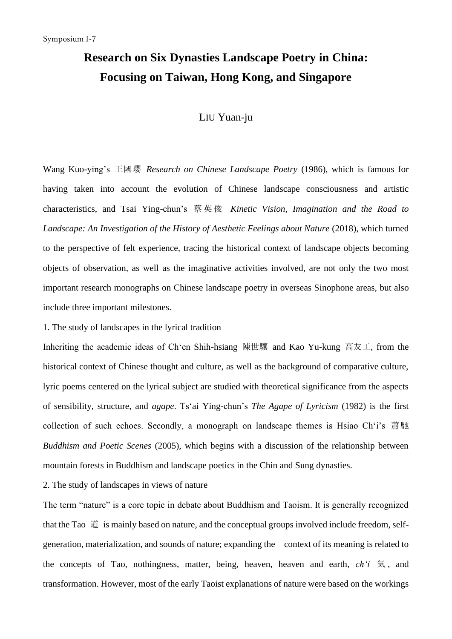## **Research on Six Dynasties Landscape Poetry in China: Focusing on Taiwan, Hong Kong, and Singapore**

## LIU Yuan-ju

Wang Kuo-ying's 王國瓔 *Research on Chinese Landscape Poetry* (1986), which is famous for having taken into account the evolution of Chinese landscape consciousness and artistic characteristics, and Tsai Ying-chun's 蔡英俊 *Kinetic Vision, Imagination and the Road to Landscape: An Investigation of the History of Aesthetic Feelings about Nature (2018), which turned* to the perspective of felt experience, tracing the historical context of landscape objects becoming objects of observation, as well as the imaginative activities involved, are not only the two most important research monographs on Chinese landscape poetry in overseas Sinophone areas, but also include three important milestones.

1. The study of landscapes in the lyrical tradition

Inheriting the academic ideas of Ch'en Shih-hsiang 陳世驤 and Kao Yu-kung 高友工, from the historical context of Chinese thought and culture, as well as the background of comparative culture, lyric poems centered on the lyrical subject are studied with theoretical significance from the aspects of sensibility, structure, and *agape*. Ts'ai Ying-chun's *The Agape of Lyricism* (1982) is the first collection of such echoes. Secondly, a monograph on landscape themes is Hsiao Ch'i's 蕭馳 *Buddhism and Poetic Scenes* (2005), which begins with a discussion of the relationship between mountain forests in Buddhism and landscape poetics in the Chin and Sung dynasties.

2. The study of landscapes in views of nature

The term "nature" is a core topic in debate about Buddhism and Taoism. It is generally recognized that the Tao 道 is mainly based on nature, and the conceptual groups involved include freedom, selfgeneration, materialization, and sounds of nature; expanding the context of its meaning is related to the concepts of Tao, nothingness, matter, being, heaven, heaven and earth, *ch'i* 気, and transformation. However, most of the early Taoist explanations of nature were based on the workings